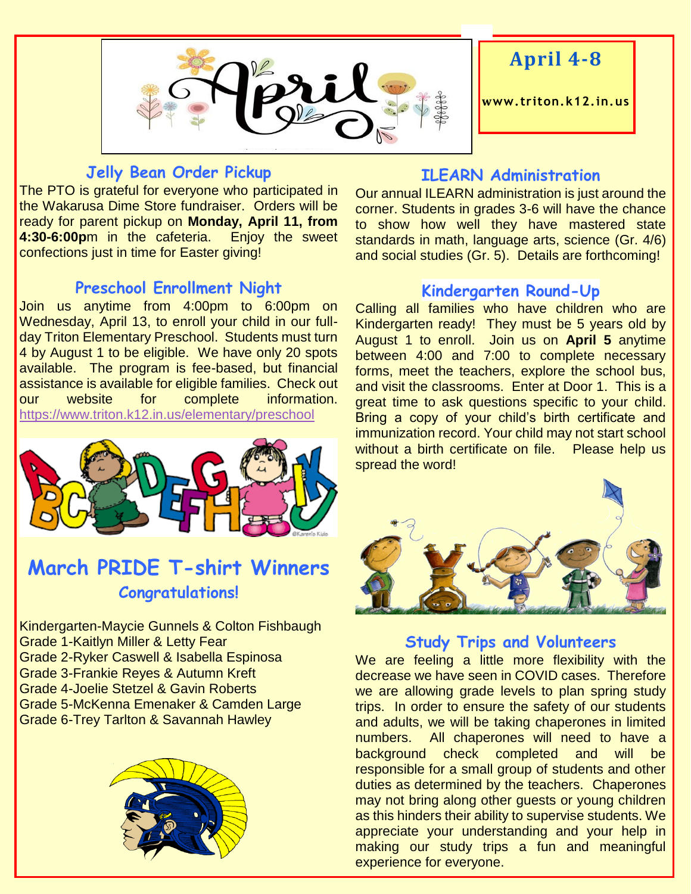

# **April 4-8**

**www. triton.k12.in.us**

#### **Jelly Bean Order Pickup**

The PTO is grateful for everyone who participated in the Wakarusa Dime Store fundraiser. Orders will be ready for parent pickup on **Monday, April 11, from 4:30-6:00p**m in the cafeteria. Enjoy the sweet confections just in time for Easter giving!

#### **Preschool Enrollment Night**

Join us anytime from 4:00pm to 6:00pm on Wednesday, April 13, to enroll your child in our fullday Triton Elementary Preschool. Students must turn 4 by August 1 to be eligible. We have only 20 spots available. The program is fee-based, but financial assistance is available for eligible families. Check out our website for complete information. <https://www.triton.k12.in.us/elementary/preschool>



# **March PRIDE T-shirt Winners Congratulations!**

Kindergarten-Maycie Gunnels & Colton Fishbaugh Grade 1-Kaitlyn Miller & Letty Fear Grade 2-Ryker Caswell & Isabella Espinosa Grade 3-Frankie Reyes & Autumn Kreft Grade 4-Joelie Stetzel & Gavin Roberts Grade 5-McKenna Emenaker & Camden Large Grade 6-Trey Tarlton & Savannah Hawley



#### **ILEARN Administration**

Our annual ILEARN administration is just around the corner. Students in grades 3-6 will have the chance to show how well they have mastered state standards in math, language arts, science (Gr. 4/6) and social studies (Gr. 5). Details are forthcoming!

#### **Kindergarten Round-Up**

Calling all families who have children who are Kindergarten ready! They must be 5 years old by August 1 to enroll. Join us on **April 5** anytime between 4:00 and 7:00 to complete necessary forms, meet the teachers, explore the school bus, and visit the classrooms. Enter at Door 1. This is a great time to ask questions specific to your child. Bring a copy of your child's birth certificate and immunization record. Your child may not start school without a birth certificate on file. Please help us spread the word!



### **Study Trips and Volunteers**

We are feeling a little more flexibility with the decrease we have seen in COVID cases. Therefore we are allowing grade levels to plan spring study trips. In order to ensure the safety of our students and adults, we will be taking chaperones in limited numbers. All chaperones will need to have a background check completed and will be responsible for a small group of students and other duties as determined by the teachers. Chaperones may not bring along other guests or young children as this hinders their ability to supervise students. We appreciate your understanding and your help in making our study trips a fun and meaningful experience for everyone.